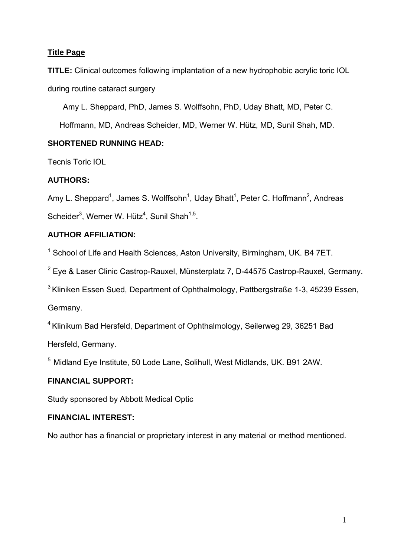# **Title Page**

**TITLE:** Clinical outcomes following implantation of a new hydrophobic acrylic toric IOL during routine cataract surgery

Amy L. Sheppard, PhD, James S. Wolffsohn, PhD, Uday Bhatt, MD, Peter C.

Hoffmann, MD, Andreas Scheider, MD, Werner W. Hütz, MD, Sunil Shah, MD.

# **SHORTENED RUNNING HEAD:**

Tecnis Toric IOL

# **AUTHORS:**

Amy L. Sheppard<sup>1</sup>, James S. Wolffsohn<sup>1</sup>, Uday Bhatt<sup>1</sup>, Peter C. Hoffmann<sup>2</sup>, Andreas Scheider<sup>3</sup>, Werner W. Hütz<sup>4</sup>, Sunil Shah<sup>1,5</sup>.

# **AUTHOR AFFILIATION:**

<sup>1</sup> School of Life and Health Sciences, Aston University, Birmingham, UK. B4 7ET.

<sup>2</sup> Eye & Laser Clinic Castrop-Rauxel, Münsterplatz 7, D-44575 Castrop-Rauxel, Germany.

<sup>3</sup> Kliniken Essen Sued, Department of Ophthalmology, Pattbergstraße 1-3, 45239 Essen,

Germany.

4 Klinikum Bad Hersfeld, Department of Ophthalmology, Seilerweg 29, 36251 Bad

Hersfeld, Germany.

5 Midland Eye Institute, 50 Lode Lane, Solihull, West Midlands, UK. B91 2AW.

# **FINANCIAL SUPPORT:**

Study sponsored by Abbott Medical Optic

## **FINANCIAL INTEREST:**

No author has a financial or proprietary interest in any material or method mentioned.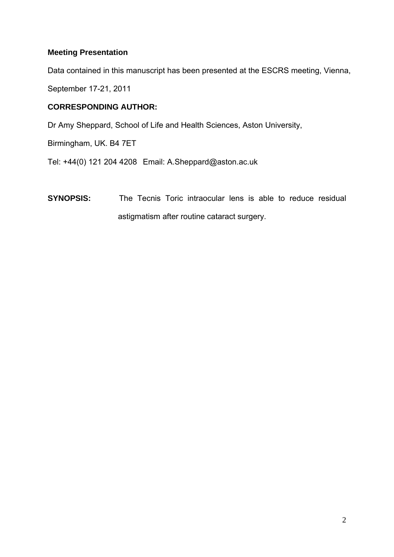## **Meeting Presentation**

Data contained in this manuscript has been presented at the ESCRS meeting, Vienna,

September 17-21, 2011

## **CORRESPONDING AUTHOR:**

Dr Amy Sheppard, School of Life and Health Sciences, Aston University,

Birmingham, UK. B4 7ET

Tel: +44(0) 121 204 4208 Email: A.Sheppard@aston.ac.uk

**SYNOPSIS:** The Tecnis Toric intraocular lens is able to reduce residual astigmatism after routine cataract surgery.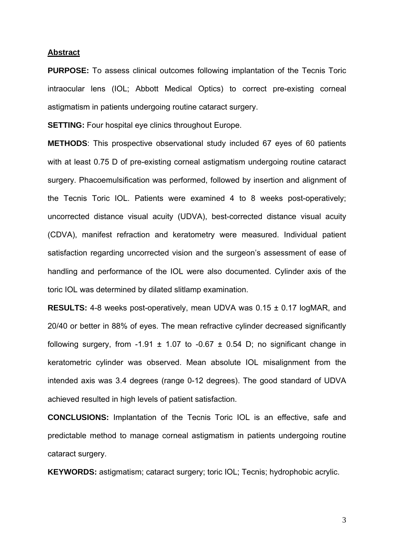### **Abstract**

**PURPOSE:** To assess clinical outcomes following implantation of the Tecnis Toric intraocular lens (IOL; Abbott Medical Optics) to correct pre-existing corneal astigmatism in patients undergoing routine cataract surgery.

**SETTING:** Four hospital eye clinics throughout Europe.

**METHODS**: This prospective observational study included 67 eyes of 60 patients with at least 0.75 D of pre-existing corneal astigmatism undergoing routine cataract surgery. Phacoemulsification was performed, followed by insertion and alignment of the Tecnis Toric IOL. Patients were examined 4 to 8 weeks post-operatively; uncorrected distance visual acuity (UDVA), best-corrected distance visual acuity (CDVA), manifest refraction and keratometry were measured. Individual patient satisfaction regarding uncorrected vision and the surgeon's assessment of ease of handling and performance of the IOL were also documented. Cylinder axis of the toric IOL was determined by dilated slitlamp examination.

**RESULTS:** 4-8 weeks post-operatively, mean UDVA was 0.15 ± 0.17 logMAR, and 20/40 or better in 88% of eyes. The mean refractive cylinder decreased significantly following surgery, from -1.91  $\pm$  1.07 to -0.67  $\pm$  0.54 D; no significant change in keratometric cylinder was observed. Mean absolute IOL misalignment from the intended axis was 3.4 degrees (range 0-12 degrees). The good standard of UDVA achieved resulted in high levels of patient satisfaction.

**CONCLUSIONS:** Implantation of the Tecnis Toric IOL is an effective, safe and predictable method to manage corneal astigmatism in patients undergoing routine cataract surgery.

**KEYWORDS:** astigmatism; cataract surgery; toric IOL; Tecnis; hydrophobic acrylic.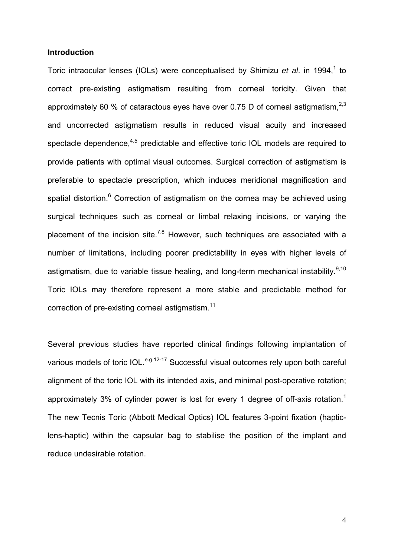### **Introduction**

Toric intraocular lenses (IOLs) were conceptualised by Shimizu *et al.* in 1994,<sup>1</sup> to correct pre-existing astigmatism resulting from corneal toricity. Given that approximately 60 % of cataractous eyes have over 0.75 D of corneal astigmatism, $^{2,3}$ and uncorrected astigmatism results in reduced visual acuity and increased spectacle dependence, $4.5$  predictable and effective toric IOL models are required to provide patients with optimal visual outcomes. Surgical correction of astigmatism is preferable to spectacle prescription, which induces meridional magnification and spatial distortion.<sup>6</sup> Correction of astigmatism on the cornea may be achieved using surgical techniques such as corneal or limbal relaxing incisions, or varying the placement of the incision site.<sup>7,8</sup> However, such techniques are associated with a number of limitations, including poorer predictability in eyes with higher levels of astigmatism, due to variable tissue healing, and long-term mechanical instability.  $9,10$ Toric IOLs may therefore represent a more stable and predictable method for correction of pre-existing corneal astigmatism.<sup>11</sup>

Several previous studies have reported clinical findings following implantation of various models of toric IOL.<sup>e.g.12-17</sup> Successful visual outcomes rely upon both careful alignment of the toric IOL with its intended axis, and minimal post-operative rotation; approximately 3% of cylinder power is lost for every 1 degree of off-axis rotation.<sup>1</sup> The new Tecnis Toric (Abbott Medical Optics) IOL features 3-point fixation (hapticlens-haptic) within the capsular bag to stabilise the position of the implant and reduce undesirable rotation.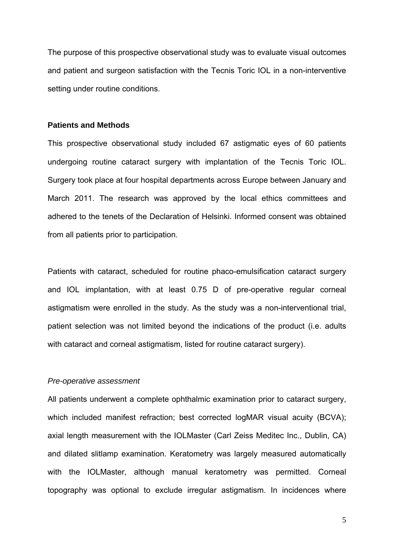The purpose of this prospective observational study was to evaluate visual outcomes and patient and surgeon satisfaction with the Tecnis Toric IOL in a non-interventive setting under routine conditions.

## **Patients and Methods**

This prospective observational study included 67 astigmatic eyes of 60 patients undergoing routine cataract surgery with implantation of the Tecnis Toric IOL. Surgery took place at four hospital departments across Europe between January and March 2011. The research was approved by the local ethics committees and adhered to the tenets of the Declaration of Helsinki. Informed consent was obtained from all patients prior to participation.

Patients with cataract, scheduled for routine phaco-emulsification cataract surgery and IOL implantation, with at least 0.75 D of pre-operative regular corneal astigmatism were enrolled in the study. As the study was a non-interventional trial, patient selection was not limited beyond the indications of the product (i.e. adults with cataract and corneal astigmatism, listed for routine cataract surgery).

#### *Pre-operative assessment*

All patients underwent a complete ophthalmic examination prior to cataract surgery, which included manifest refraction; best corrected logMAR visual acuity (BCVA); axial length measurement with the IOLMaster (Carl Zeiss Meditec Inc., Dublin, CA) and dilated slitlamp examination. Keratometry was largely measured automatically with the IOLMaster, although manual keratometry was permitted. Corneal topography was optional to exclude irregular astigmatism. In incidences where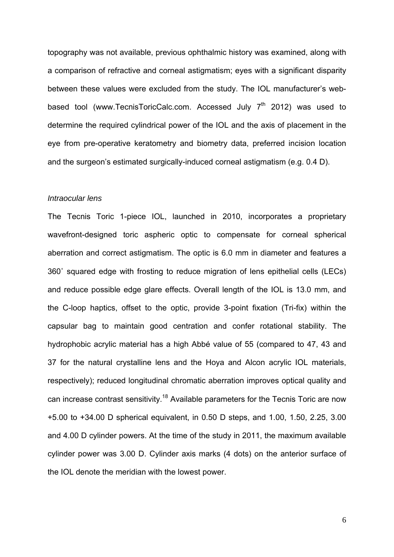topography was not available, previous ophthalmic history was examined, along with a comparison of refractive and corneal astigmatism; eyes with a significant disparity between these values were excluded from the study. The IOL manufacturer's webbased tool (www.TecnisToricCalc.com. Accessed July  $7<sup>th</sup>$  2012) was used to determine the required cylindrical power of the IOL and the axis of placement in the eye from pre-operative keratometry and biometry data, preferred incision location and the surgeon's estimated surgically-induced corneal astigmatism (e.g. 0.4 D).

### *Intraocular lens*

The Tecnis Toric 1-piece IOL, launched in 2010, incorporates a proprietary wavefront-designed toric aspheric optic to compensate for corneal spherical aberration and correct astigmatism. The optic is 6.0 mm in diameter and features a 360˚ squared edge with frosting to reduce migration of lens epithelial cells (LECs) and reduce possible edge glare effects. Overall length of the IOL is 13.0 mm, and the C-loop haptics, offset to the optic, provide 3-point fixation (Tri-fix) within the capsular bag to maintain good centration and confer rotational stability. The hydrophobic acrylic material has a high Abbé value of 55 (compared to 47, 43 and 37 for the natural crystalline lens and the Hoya and Alcon acrylic IOL materials, respectively); reduced longitudinal chromatic aberration improves optical quality and can increase contrast sensitivity.<sup>18</sup> Available parameters for the Tecnis Toric are now +5.00 to +34.00 D spherical equivalent, in 0.50 D steps, and 1.00, 1.50, 2.25, 3.00 and 4.00 D cylinder powers. At the time of the study in 2011, the maximum available cylinder power was 3.00 D. Cylinder axis marks (4 dots) on the anterior surface of the IOL denote the meridian with the lowest power.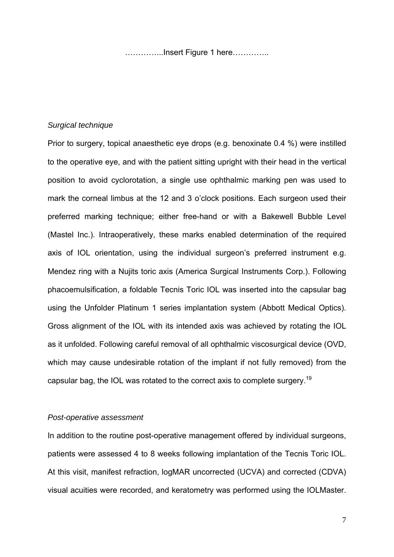…………...Insert Figure 1 here…………..

### *Surgical technique*

Prior to surgery, topical anaesthetic eye drops (e.g. benoxinate 0.4 %) were instilled to the operative eye, and with the patient sitting upright with their head in the vertical position to avoid cyclorotation, a single use ophthalmic marking pen was used to mark the corneal limbus at the 12 and 3 o'clock positions. Each surgeon used their preferred marking technique; either free-hand or with a Bakewell Bubble Level (Mastel Inc.). Intraoperatively, these marks enabled determination of the required axis of IOL orientation, using the individual surgeon's preferred instrument e.g. Mendez ring with a Nujits toric axis (America Surgical Instruments Corp.). Following phacoemulsification, a foldable Tecnis Toric IOL was inserted into the capsular bag using the Unfolder Platinum 1 series implantation system (Abbott Medical Optics). Gross alignment of the IOL with its intended axis was achieved by rotating the IOL as it unfolded. Following careful removal of all ophthalmic viscosurgical device (OVD, which may cause undesirable rotation of the implant if not fully removed) from the capsular bag, the IOL was rotated to the correct axis to complete surgery.<sup>19</sup>

### *Post-operative assessment*

In addition to the routine post-operative management offered by individual surgeons, patients were assessed 4 to 8 weeks following implantation of the Tecnis Toric IOL. At this visit, manifest refraction, logMAR uncorrected (UCVA) and corrected (CDVA) visual acuities were recorded, and keratometry was performed using the IOLMaster.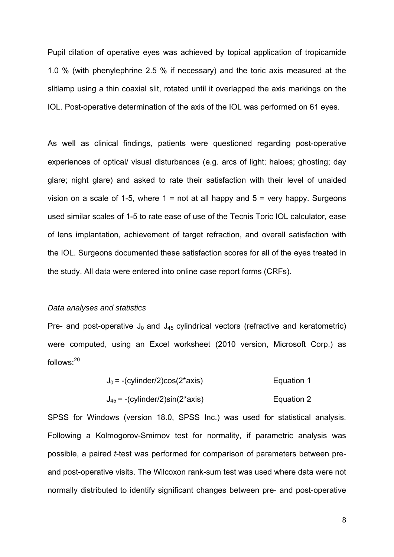Pupil dilation of operative eyes was achieved by topical application of tropicamide 1.0 % (with phenylephrine 2.5 % if necessary) and the toric axis measured at the slitlamp using a thin coaxial slit, rotated until it overlapped the axis markings on the IOL. Post-operative determination of the axis of the IOL was performed on 61 eyes.

As well as clinical findings, patients were questioned regarding post-operative experiences of optical/ visual disturbances (e.g. arcs of light; haloes; ghosting; day glare; night glare) and asked to rate their satisfaction with their level of unaided vision on a scale of 1-5, where  $1 = \text{not}$  at all happy and  $5 = \text{very}$  happy. Surgeons used similar scales of 1-5 to rate ease of use of the Tecnis Toric IOL calculator, ease of lens implantation, achievement of target refraction, and overall satisfaction with the IOL. Surgeons documented these satisfaction scores for all of the eyes treated in the study. All data were entered into online case report forms (CRFs).

### *Data analyses and statistics*

Pre- and post-operative  $J_0$  and  $J_{45}$  cylindrical vectors (refractive and keratometric) were computed, using an Excel worksheet (2010 version, Microsoft Corp.) as follows:<sup>20</sup>

$$
J_0 = -(cylinder/2)cos(2*axis)
$$
   
 
$$
J_{45} = -(cylinder/2)sin(2*axis)
$$
   
 
$$
Equation 2
$$

SPSS for Windows (version 18.0, SPSS Inc.) was used for statistical analysis. Following a Kolmogorov-Smirnov test for normality, if parametric analysis was possible, a paired *t*-test was performed for comparison of parameters between preand post-operative visits. The Wilcoxon rank-sum test was used where data were not normally distributed to identify significant changes between pre- and post-operative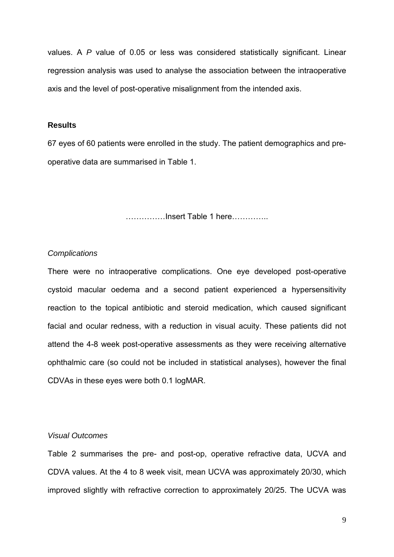values. A *P* value of 0.05 or less was considered statistically significant. Linear regression analysis was used to analyse the association between the intraoperative axis and the level of post-operative misalignment from the intended axis.

## **Results**

67 eyes of 60 patients were enrolled in the study. The patient demographics and preoperative data are summarised in Table 1.

……………Insert Table 1 here…………..

## *Complications*

There were no intraoperative complications. One eye developed post-operative cystoid macular oedema and a second patient experienced a hypersensitivity reaction to the topical antibiotic and steroid medication, which caused significant facial and ocular redness, with a reduction in visual acuity. These patients did not attend the 4-8 week post-operative assessments as they were receiving alternative ophthalmic care (so could not be included in statistical analyses), however the final CDVAs in these eyes were both 0.1 logMAR.

## *Visual Outcomes*

Table 2 summarises the pre- and post-op, operative refractive data, UCVA and CDVA values. At the 4 to 8 week visit, mean UCVA was approximately 20/30, which improved slightly with refractive correction to approximately 20/25. The UCVA was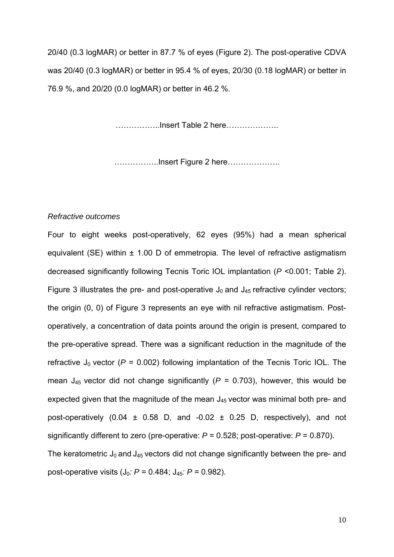20/40 (0.3 logMAR) or better in 87.7 % of eyes (Figure 2). The post-operative CDVA was 20/40 (0.3 logMAR) or better in 95.4 % of eyes, 20/30 (0.18 logMAR) or better in 76.9 %, and 20/20 (0.0 logMAR) or better in 46.2 %.

……………..Insert Table 2 here………………..

……………..Insert Figure 2 here………………..

#### *Refractive outcomes*

Four to eight weeks post-operatively, 62 eyes (95%) had a mean spherical equivalent (SE) within ± 1.00 D of emmetropia. The level of refractive astigmatism decreased significantly following Tecnis Toric IOL implantation (*P* <0.001; Table 2). Figure 3 illustrates the pre- and post-operative  $J_0$  and  $J_{45}$  refractive cylinder vectors; the origin (0, 0) of Figure 3 represents an eye with nil refractive astigmatism. Postoperatively, a concentration of data points around the origin is present, compared to the pre-operative spread. There was a significant reduction in the magnitude of the refractive  $J_0$  vector ( $P = 0.002$ ) following implantation of the Tecnis Toric IOL. The mean  $J_{45}$  vector did not change significantly ( $P = 0.703$ ), however, this would be expected given that the magnitude of the mean  $J_{45}$  vector was minimal both pre- and post-operatively (0.04  $\pm$  0.58 D, and -0.02  $\pm$  0.25 D, respectively), and not significantly different to zero (pre-operative: *P* = 0.528; post-operative: *P* = 0.870). The keratometric  $J_0$  and  $J_{45}$  vectors did not change significantly between the pre- and post-operative visits (J0*: P* = 0.484; J45*: P* = 0.982).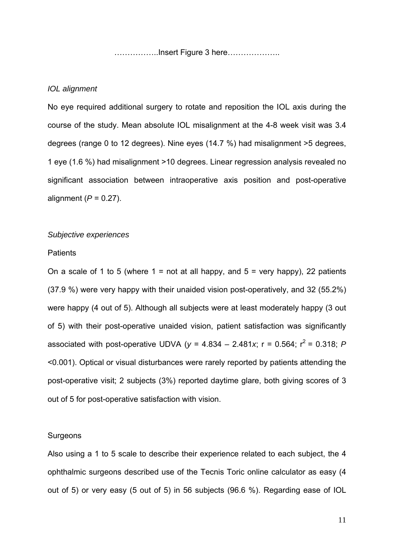……………..Insert Figure 3 here………………..

#### *IOL alignment*

No eye required additional surgery to rotate and reposition the IOL axis during the course of the study. Mean absolute IOL misalignment at the 4-8 week visit was 3.4 degrees (range 0 to 12 degrees). Nine eyes (14.7 %) had misalignment >5 degrees, 1 eye (1.6 %) had misalignment >10 degrees. Linear regression analysis revealed no significant association between intraoperative axis position and post-operative alignment (*P* = 0.27).

## *Subjective experiences*

#### **Patients**

On a scale of 1 to 5 (where  $1 = \text{not at all happy}$ , and  $5 = \text{very happy}$ ), 22 patients (37.9 %) were very happy with their unaided vision post-operatively, and 32 (55.2%) were happy (4 out of 5). Although all subjects were at least moderately happy (3 out of 5) with their post-operative unaided vision, patient satisfaction was significantly associated with post-operative UDVA ( $y = 4.834 - 2.481x$ ;  $r = 0.564$ ;  $r^2 = 0.318$ ; *P* <0.001). Optical or visual disturbances were rarely reported by patients attending the post-operative visit; 2 subjects (3%) reported daytime glare, both giving scores of 3 out of 5 for post-operative satisfaction with vision.

#### **Surgeons**

Also using a 1 to 5 scale to describe their experience related to each subject, the 4 ophthalmic surgeons described use of the Tecnis Toric online calculator as easy (4 out of 5) or very easy (5 out of 5) in 56 subjects (96.6 %). Regarding ease of IOL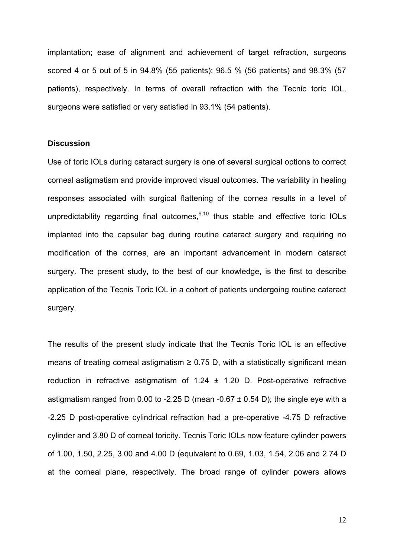implantation; ease of alignment and achievement of target refraction, surgeons scored 4 or 5 out of 5 in 94.8% (55 patients); 96.5 % (56 patients) and 98.3% (57 patients), respectively. In terms of overall refraction with the Tecnic toric IOL, surgeons were satisfied or very satisfied in 93.1% (54 patients).

## **Discussion**

Use of toric IOLs during cataract surgery is one of several surgical options to correct corneal astigmatism and provide improved visual outcomes. The variability in healing responses associated with surgical flattening of the cornea results in a level of unpredictability regarding final outcomes, $9,10$  thus stable and effective toric IOLs implanted into the capsular bag during routine cataract surgery and requiring no modification of the cornea, are an important advancement in modern cataract surgery. The present study, to the best of our knowledge, is the first to describe application of the Tecnis Toric IOL in a cohort of patients undergoing routine cataract surgery.

The results of the present study indicate that the Tecnis Toric IOL is an effective means of treating corneal astigmatism  $\geq 0.75$  D, with a statistically significant mean reduction in refractive astigmatism of  $1.24 \pm 1.20$  D. Post-operative refractive astigmatism ranged from 0.00 to -2.25 D (mean -0.67  $\pm$  0.54 D); the single eye with a -2.25 D post-operative cylindrical refraction had a pre-operative -4.75 D refractive cylinder and 3.80 D of corneal toricity. Tecnis Toric IOLs now feature cylinder powers of 1.00, 1.50, 2.25, 3.00 and 4.00 D (equivalent to 0.69, 1.03, 1.54, 2.06 and 2.74 D at the corneal plane, respectively. The broad range of cylinder powers allows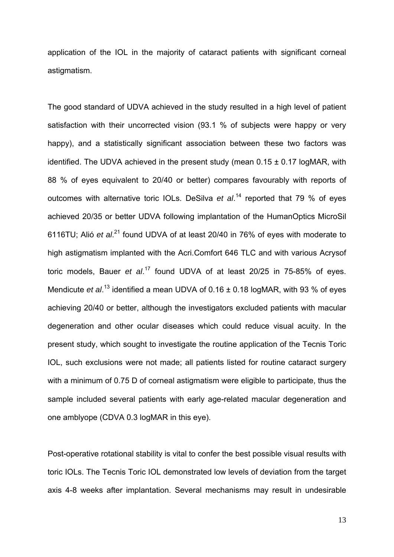application of the IOL in the majority of cataract patients with significant corneal astigmatism.

The good standard of UDVA achieved in the study resulted in a high level of patient satisfaction with their uncorrected vision (93.1 % of subjects were happy or very happy), and a statistically significant association between these two factors was identified. The UDVA achieved in the present study (mean  $0.15 \pm 0.17$  logMAR, with 88 % of eyes equivalent to 20/40 or better) compares favourably with reports of outcomes with alternative toric IOLs. DeSilva *et al*. 14 reported that 79 % of eyes achieved 20/35 or better UDVA following implantation of the HumanOptics MicroSil 6116TU; Alió *et al.<sup>21</sup>* found UDVA of at least 20/40 in 76% of eyes with moderate to high astigmatism implanted with the Acri.Comfort 646 TLC and with various Acrysof toric models, Bauer *et al*. 17 found UDVA of at least 20/25 in 75-85% of eyes. Mendicute *et al.*<sup>13</sup> identified a mean UDVA of 0.16 ± 0.18 logMAR, with 93 % of eyes achieving 20/40 or better, although the investigators excluded patients with macular degeneration and other ocular diseases which could reduce visual acuity. In the present study, which sought to investigate the routine application of the Tecnis Toric IOL, such exclusions were not made; all patients listed for routine cataract surgery with a minimum of 0.75 D of corneal astigmatism were eligible to participate, thus the sample included several patients with early age-related macular degeneration and one amblyope (CDVA 0.3 logMAR in this eye).

Post-operative rotational stability is vital to confer the best possible visual results with toric IOLs. The Tecnis Toric IOL demonstrated low levels of deviation from the target axis 4-8 weeks after implantation. Several mechanisms may result in undesirable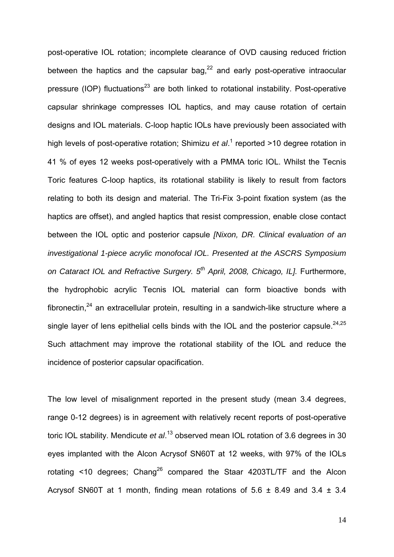post-operative IOL rotation; incomplete clearance of OVD causing reduced friction between the haptics and the capsular bag, $^{22}$  and early post-operative intraocular pressure (IOP) fluctuations<sup>23</sup> are both linked to rotational instability. Post-operative capsular shrinkage compresses IOL haptics, and may cause rotation of certain designs and IOL materials. C-loop haptic IOLs have previously been associated with high levels of post-operative rotation; Shimizu *et al*.<sup>1</sup> reported >10 degree rotation in 41 % of eyes 12 weeks post-operatively with a PMMA toric IOL. Whilst the Tecnis Toric features C-loop haptics, its rotational stability is likely to result from factors relating to both its design and material. The Tri-Fix 3-point fixation system (as the haptics are offset), and angled haptics that resist compression, enable close contact between the IOL optic and posterior capsule *[Nixon, DR. Clinical evaluation of an investigational 1-piece acrylic monofocal IOL. Presented at the ASCRS Symposium on Cataract IOL and Refractive Surgery. 5th April, 2008, Chicago, IL].* Furthermore, the hydrophobic acrylic Tecnis IOL material can form bioactive bonds with fibronectin, $24$  an extracellular protein, resulting in a sandwich-like structure where a single layer of lens epithelial cells binds with the IOL and the posterior capsule.  $24.25$ Such attachment may improve the rotational stability of the IOL and reduce the incidence of posterior capsular opacification.

The low level of misalignment reported in the present study (mean 3.4 degrees, range 0-12 degrees) is in agreement with relatively recent reports of post-operative toric IOL stability. Mendicute *et al*. 13 observed mean IOL rotation of 3.6 degrees in 30 eyes implanted with the Alcon Acrysof SN60T at 12 weeks, with 97% of the IOLs rotating  $\leq$  10 degrees; Chang<sup>26</sup> compared the Staar 4203TL/TF and the Alcon Acrysof SN60T at 1 month, finding mean rotations of  $5.6 \pm 8.49$  and  $3.4 \pm 3.4$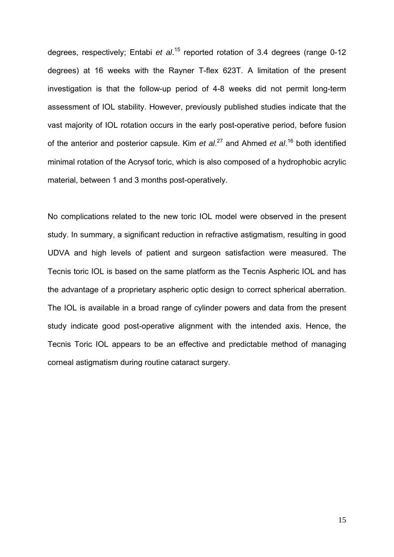degrees, respectively; Entabi *et al.*<sup>15</sup> reported rotation of 3.4 degrees (range 0-12 degrees) at 16 weeks with the Rayner T-flex 623T. A limitation of the present investigation is that the follow-up period of 4-8 weeks did not permit long-term assessment of IOL stability. However, previously published studies indicate that the vast majority of IOL rotation occurs in the early post-operative period, before fusion of the anterior and posterior capsule. Kim *et al*. 27 and Ahmed *et al*. 16 both identified minimal rotation of the Acrysof toric, which is also composed of a hydrophobic acrylic material, between 1 and 3 months post-operatively.

No complications related to the new toric IOL model were observed in the present study. In summary, a significant reduction in refractive astigmatism, resulting in good UDVA and high levels of patient and surgeon satisfaction were measured. The Tecnis toric IOL is based on the same platform as the Tecnis Aspheric IOL and has the advantage of a proprietary aspheric optic design to correct spherical aberration. The IOL is available in a broad range of cylinder powers and data from the present study indicate good post-operative alignment with the intended axis. Hence, the Tecnis Toric IOL appears to be an effective and predictable method of managing corneal astigmatism during routine cataract surgery.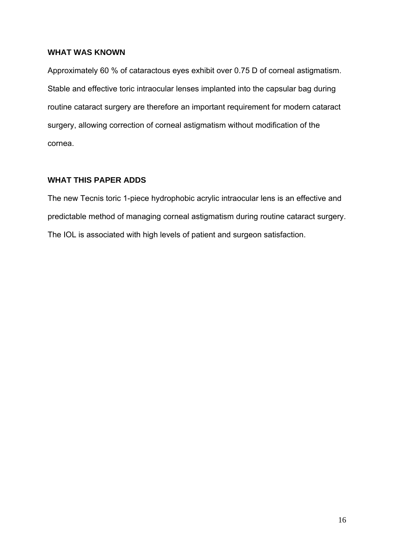## **WHAT WAS KNOWN**

Approximately 60 % of cataractous eyes exhibit over 0.75 D of corneal astigmatism. Stable and effective toric intraocular lenses implanted into the capsular bag during routine cataract surgery are therefore an important requirement for modern cataract surgery, allowing correction of corneal astigmatism without modification of the cornea.

## **WHAT THIS PAPER ADDS**

The new Tecnis toric 1-piece hydrophobic acrylic intraocular lens is an effective and predictable method of managing corneal astigmatism during routine cataract surgery. The IOL is associated with high levels of patient and surgeon satisfaction.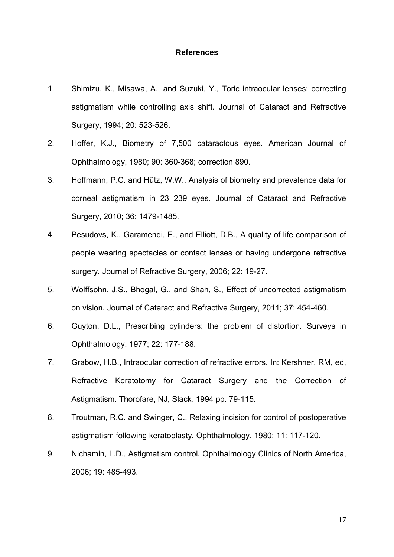#### **References**

- 1. Shimizu, K., Misawa, A., and Suzuki, Y., Toric intraocular lenses: correcting astigmatism while controlling axis shift*.* Journal of Cataract and Refractive Surgery, 1994; 20: 523-526.
- 2. Hoffer, K.J., Biometry of 7,500 cataractous eyes*.* American Journal of Ophthalmology, 1980; 90: 360-368; correction 890.
- 3. Hoffmann, P.C. and Hütz, W.W., Analysis of biometry and prevalence data for corneal astigmatism in 23 239 eyes*.* Journal of Cataract and Refractive Surgery, 2010; 36: 1479-1485.
- 4. Pesudovs, K., Garamendi, E., and Elliott, D.B., A quality of life comparison of people wearing spectacles or contact lenses or having undergone refractive surgery*.* Journal of Refractive Surgery, 2006; 22: 19-27.
- 5. Wolffsohn, J.S., Bhogal, G., and Shah, S., Effect of uncorrected astigmatism on vision*.* Journal of Cataract and Refractive Surgery, 2011; 37: 454-460.
- 6. Guyton, D.L., Prescribing cylinders: the problem of distortion*.* Surveys in Ophthalmology, 1977; 22: 177-188.
- 7. Grabow, H.B., Intraocular correction of refractive errors. In: Kershner, RM, ed, Refractive Keratotomy for Cataract Surgery and the Correction of Astigmatism. Thorofare, NJ, Slack*.* 1994 pp. 79-115.
- 8. Troutman, R.C. and Swinger, C., Relaxing incision for control of postoperative astigmatism following keratoplasty*.* Ophthalmology, 1980; 11: 117-120.
- 9. Nichamin, L.D., Astigmatism control*.* Ophthalmology Clinics of North America, 2006; 19: 485-493.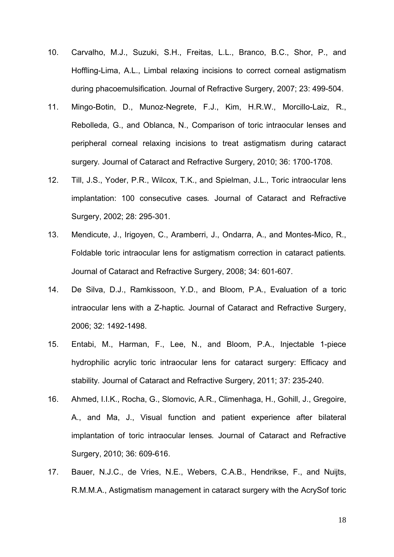- 10. Carvalho, M.J., Suzuki, S.H., Freitas, L.L., Branco, B.C., Shor, P., and Hoffling-Lima, A.L., Limbal relaxing incisions to correct corneal astigmatism during phacoemulsification*.* Journal of Refractive Surgery, 2007; 23: 499-504.
- 11. Mingo-Botin, D., Munoz-Negrete, F.J., Kim, H.R.W., Morcillo-Laiz, R., Rebolleda, G., and Oblanca, N., Comparison of toric intraocular lenses and peripheral corneal relaxing incisions to treat astigmatism during cataract surgery*.* Journal of Cataract and Refractive Surgery, 2010; 36: 1700-1708.
- 12. Till, J.S., Yoder, P.R., Wilcox, T.K., and Spielman, J.L., Toric intraocular lens implantation: 100 consecutive cases*.* Journal of Cataract and Refractive Surgery, 2002; 28: 295-301.
- 13. Mendicute, J., Irigoyen, C., Aramberri, J., Ondarra, A., and Montes-Mico, R., Foldable toric intraocular lens for astigmatism correction in cataract patients*.* Journal of Cataract and Refractive Surgery, 2008; 34: 601-607.
- 14. De Silva, D.J., Ramkissoon, Y.D., and Bloom, P.A., Evaluation of a toric intraocular lens with a Z-haptic*.* Journal of Cataract and Refractive Surgery, 2006; 32: 1492-1498.
- 15. Entabi, M., Harman, F., Lee, N., and Bloom, P.A., Injectable 1-piece hydrophilic acrylic toric intraocular lens for cataract surgery: Efficacy and stability*.* Journal of Cataract and Refractive Surgery, 2011; 37: 235-240.
- 16. Ahmed, I.I.K., Rocha, G., Slomovic, A.R., Climenhaga, H., Gohill, J., Gregoire, A., and Ma, J., Visual function and patient experience after bilateral implantation of toric intraocular lenses*.* Journal of Cataract and Refractive Surgery, 2010; 36: 609-616.
- 17. Bauer, N.J.C., de Vries, N.E., Webers, C.A.B., Hendrikse, F., and Nuijts, R.M.M.A., Astigmatism management in cataract surgery with the AcrySof toric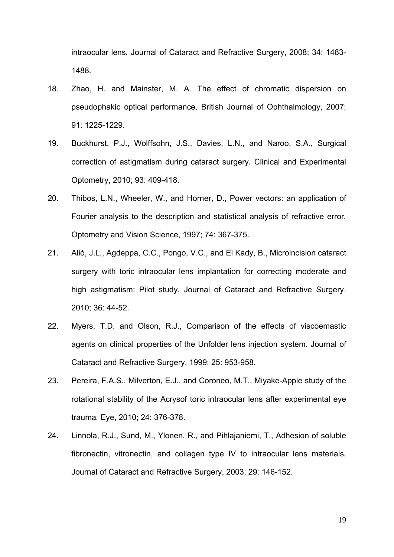intraocular lens*.* Journal of Cataract and Refractive Surgery, 2008; 34: 1483- 1488.

- 18. Zhao, H. and Mainster, M. A. The effect of chromatic dispersion on pseudophakic optical performance. British Journal of Ophthalmology, 2007; 91: 1225-1229.
- 19. Buckhurst, P.J., Wolffsohn, J.S., Davies, L.N., and Naroo, S.A., Surgical correction of astigmatism during cataract surgery*.* Clinical and Experimental Optometry, 2010; 93: 409-418.
- 20. Thibos, L.N., Wheeler, W., and Horner, D., Power vectors: an application of Fourier analysis to the description and statistical analysis of refractive error*.* Optometry and Vision Science, 1997; 74: 367-375.
- 21. Alió, J.L., Agdeppa, C.C., Pongo, V.C., and El Kady, B., Microincision cataract surgery with toric intraocular lens implantation for correcting moderate and high astigmatism: Pilot study*.* Journal of Cataract and Refractive Surgery, 2010; 36: 44-52.
- 22. Myers, T.D. and Olson, R.J., Comparison of the effects of viscoemastic agents on clinical properties of the Unfolder lens injection system. Journal of Cataract and Refractive Surgery, 1999; 25: 953-958.
- 23. Pereira, F.A.S., Milverton, E.J., and Coroneo, M.T., Miyake-Apple study of the rotational stability of the Acrysof toric intraocular lens after experimental eye trauma*.* Eye, 2010; 24: 376-378.
- 24. Linnola, R.J., Sund, M., Ylonen, R., and Pihlajaniemi, T., Adhesion of soluble fibronectin, vitronectin, and collagen type IV to intraocular lens materials*.* Journal of Cataract and Refractive Surgery, 2003; 29: 146-152.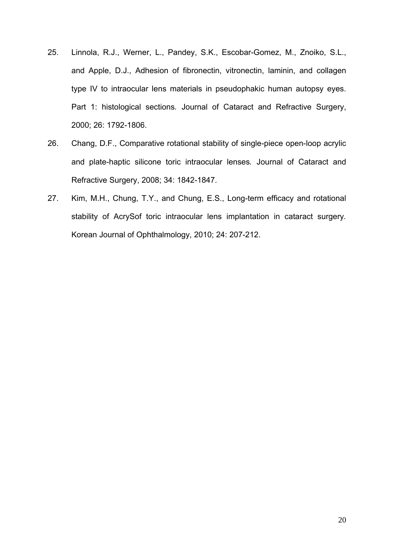- 25. Linnola, R.J., Werner, L., Pandey, S.K., Escobar-Gomez, M., Znoiko, S.L., and Apple, D.J., Adhesion of fibronectin, vitronectin, laminin, and collagen type IV to intraocular lens materials in pseudophakic human autopsy eyes. Part 1: histological sections*.* Journal of Cataract and Refractive Surgery, 2000; 26: 1792-1806.
- 26. Chang, D.F., Comparative rotational stability of single-piece open-loop acrylic and plate-haptic silicone toric intraocular lenses*.* Journal of Cataract and Refractive Surgery, 2008; 34: 1842-1847.
- 27. Kim, M.H., Chung, T.Y., and Chung, E.S., Long-term efficacy and rotational stability of AcrySof toric intraocular lens implantation in cataract surgery*.* Korean Journal of Ophthalmology, 2010; 24: 207-212.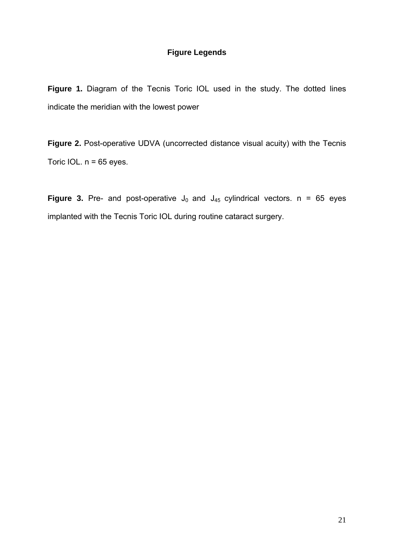# **Figure Legends**

Figure 1. Diagram of the Tecnis Toric IOL used in the study. The dotted lines indicate the meridian with the lowest power

**Figure 2.** Post-operative UDVA (uncorrected distance visual acuity) with the Tecnis Toric IOL.  $n = 65$  eyes.

**Figure 3.** Pre- and post-operative  $J_0$  and  $J_{45}$  cylindrical vectors. n = 65 eyes implanted with the Tecnis Toric IOL during routine cataract surgery.